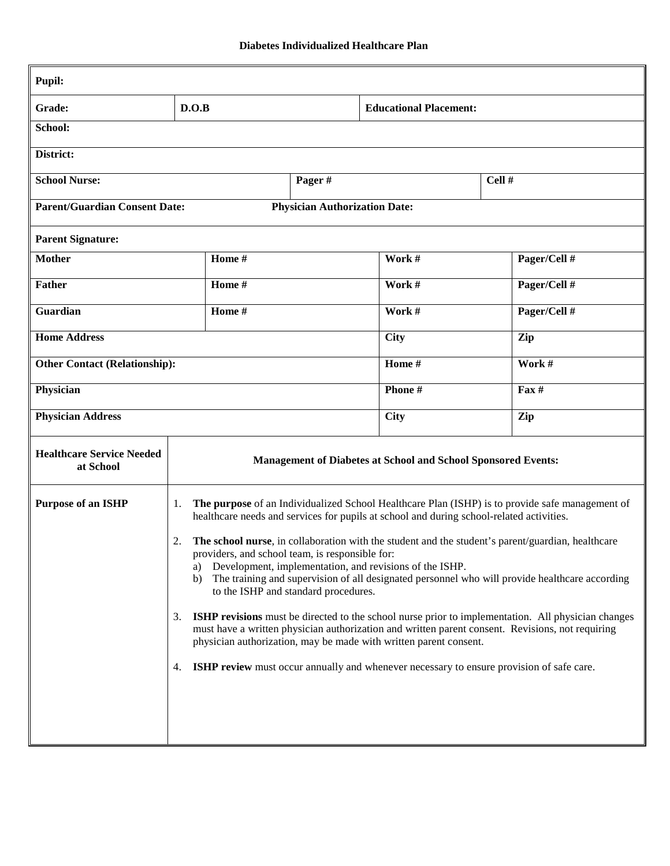| <b>Pupil:</b>                                 |                                                                                                                                                                                                                                                                                                                                                                                                                                                                                                                                                                                                                                                                                                                                                                                                                                                                                                                                                                                       |        |                                      |                               |  |                 |
|-----------------------------------------------|---------------------------------------------------------------------------------------------------------------------------------------------------------------------------------------------------------------------------------------------------------------------------------------------------------------------------------------------------------------------------------------------------------------------------------------------------------------------------------------------------------------------------------------------------------------------------------------------------------------------------------------------------------------------------------------------------------------------------------------------------------------------------------------------------------------------------------------------------------------------------------------------------------------------------------------------------------------------------------------|--------|--------------------------------------|-------------------------------|--|-----------------|
| Grade:                                        | D.O.B                                                                                                                                                                                                                                                                                                                                                                                                                                                                                                                                                                                                                                                                                                                                                                                                                                                                                                                                                                                 |        |                                      | <b>Educational Placement:</b> |  |                 |
| School:                                       |                                                                                                                                                                                                                                                                                                                                                                                                                                                                                                                                                                                                                                                                                                                                                                                                                                                                                                                                                                                       |        |                                      |                               |  |                 |
| District:                                     |                                                                                                                                                                                                                                                                                                                                                                                                                                                                                                                                                                                                                                                                                                                                                                                                                                                                                                                                                                                       |        |                                      |                               |  |                 |
| <b>School Nurse:</b>                          |                                                                                                                                                                                                                                                                                                                                                                                                                                                                                                                                                                                                                                                                                                                                                                                                                                                                                                                                                                                       |        | Pager#                               | Cell #                        |  |                 |
| <b>Parent/Guardian Consent Date:</b>          |                                                                                                                                                                                                                                                                                                                                                                                                                                                                                                                                                                                                                                                                                                                                                                                                                                                                                                                                                                                       |        | <b>Physician Authorization Date:</b> |                               |  |                 |
| <b>Parent Signature:</b>                      |                                                                                                                                                                                                                                                                                                                                                                                                                                                                                                                                                                                                                                                                                                                                                                                                                                                                                                                                                                                       |        |                                      |                               |  |                 |
| <b>Mother</b>                                 |                                                                                                                                                                                                                                                                                                                                                                                                                                                                                                                                                                                                                                                                                                                                                                                                                                                                                                                                                                                       | Home # |                                      | Work #                        |  | Pager/Cell #    |
| <b>Father</b>                                 | Home #                                                                                                                                                                                                                                                                                                                                                                                                                                                                                                                                                                                                                                                                                                                                                                                                                                                                                                                                                                                |        |                                      | Work #                        |  | Pager/Cell #    |
| Guardian                                      | Home #                                                                                                                                                                                                                                                                                                                                                                                                                                                                                                                                                                                                                                                                                                                                                                                                                                                                                                                                                                                |        |                                      | Work #                        |  | Pager/Cell #    |
| <b>Home Address</b>                           |                                                                                                                                                                                                                                                                                                                                                                                                                                                                                                                                                                                                                                                                                                                                                                                                                                                                                                                                                                                       |        |                                      | <b>City</b>                   |  | Zip             |
| <b>Other Contact (Relationship):</b>          |                                                                                                                                                                                                                                                                                                                                                                                                                                                                                                                                                                                                                                                                                                                                                                                                                                                                                                                                                                                       |        |                                      | Home #                        |  | Work #          |
| Physician                                     |                                                                                                                                                                                                                                                                                                                                                                                                                                                                                                                                                                                                                                                                                                                                                                                                                                                                                                                                                                                       |        |                                      | Phone#                        |  | $\text{Fax} \#$ |
| <b>Physician Address</b>                      |                                                                                                                                                                                                                                                                                                                                                                                                                                                                                                                                                                                                                                                                                                                                                                                                                                                                                                                                                                                       |        |                                      | <b>City</b>                   |  | Zip             |
| <b>Healthcare Service Needed</b><br>at School | Management of Diabetes at School and School Sponsored Events:                                                                                                                                                                                                                                                                                                                                                                                                                                                                                                                                                                                                                                                                                                                                                                                                                                                                                                                         |        |                                      |                               |  |                 |
| <b>Purpose of an ISHP</b>                     | The purpose of an Individualized School Healthcare Plan (ISHP) is to provide safe management of<br>1.<br>healthcare needs and services for pupils at school and during school-related activities.<br>The school nurse, in collaboration with the student and the student's parent/guardian, healthcare<br>2.<br>providers, and school team, is responsible for:<br>Development, implementation, and revisions of the ISHP.<br>a)<br>The training and supervision of all designated personnel who will provide healthcare according<br>b)<br>to the ISHP and standard procedures.<br><b>ISHP revisions</b> must be directed to the school nurse prior to implementation. All physician changes<br>3.<br>must have a written physician authorization and written parent consent. Revisions, not requiring<br>physician authorization, may be made with written parent consent.<br><b>ISHP review</b> must occur annually and whenever necessary to ensure provision of safe care.<br>4. |        |                                      |                               |  |                 |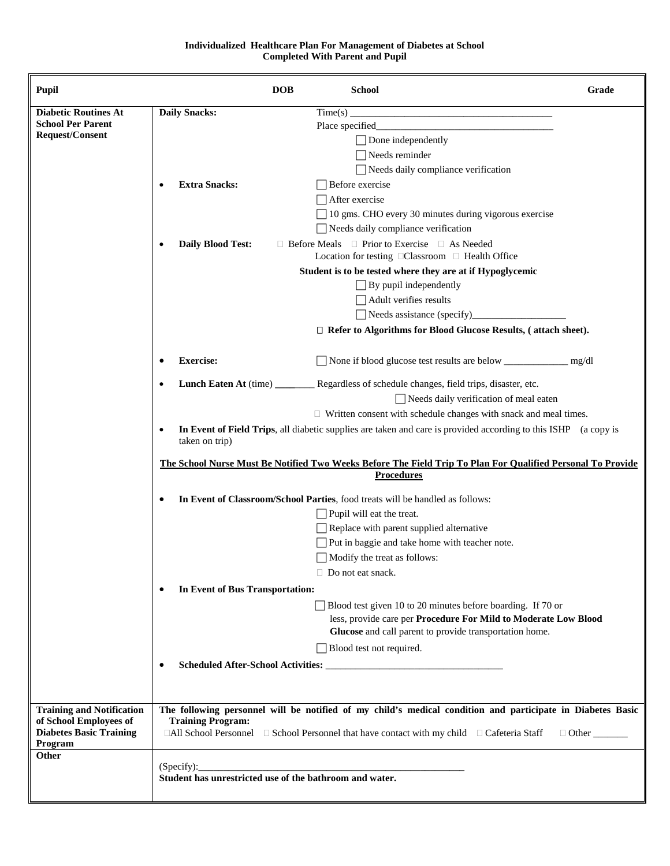## **Individualized Healthcare Plan For Management of Diabetes at School Completed With Parent and Pupil**

| <b>Pupil</b>                                               |                                                                                                                                  | <b>DOB</b>   | <b>School</b>                                                                                                                                                                             | Grade |  |  |  |  |
|------------------------------------------------------------|----------------------------------------------------------------------------------------------------------------------------------|--------------|-------------------------------------------------------------------------------------------------------------------------------------------------------------------------------------------|-------|--|--|--|--|
| <b>Diabetic Routines At</b>                                | <b>Daily Snacks:</b>                                                                                                             |              | Time(s)<br><u> 1980 - Johann John Hermann, fransk politik (d. 19</u>                                                                                                                      |       |  |  |  |  |
| <b>School Per Parent</b>                                   |                                                                                                                                  |              |                                                                                                                                                                                           |       |  |  |  |  |
| Request/Consent                                            |                                                                                                                                  |              | $\Box$ Done independently                                                                                                                                                                 |       |  |  |  |  |
|                                                            |                                                                                                                                  |              | $\Box$ Needs reminder                                                                                                                                                                     |       |  |  |  |  |
|                                                            |                                                                                                                                  |              | Needs daily compliance verification                                                                                                                                                       |       |  |  |  |  |
|                                                            |                                                                                                                                  |              |                                                                                                                                                                                           |       |  |  |  |  |
|                                                            | <b>Extra Snacks:</b>                                                                                                             |              | Before exercise                                                                                                                                                                           |       |  |  |  |  |
|                                                            |                                                                                                                                  |              | $\Box$ After exercise                                                                                                                                                                     |       |  |  |  |  |
|                                                            |                                                                                                                                  |              | 10 gms. CHO every 30 minutes during vigorous exercise                                                                                                                                     |       |  |  |  |  |
|                                                            |                                                                                                                                  |              | $\Box$ Needs daily compliance verification<br>$\Box$ Before Meals $\Box$ Prior to Exercise $\Box$ As Needed                                                                               |       |  |  |  |  |
|                                                            | <b>Daily Blood Test:</b>                                                                                                         |              |                                                                                                                                                                                           |       |  |  |  |  |
|                                                            | Student is to be tested where they are at if Hypoglycemic                                                                        |              |                                                                                                                                                                                           |       |  |  |  |  |
|                                                            |                                                                                                                                  |              |                                                                                                                                                                                           |       |  |  |  |  |
|                                                            |                                                                                                                                  |              | $\Box$ By pupil independently<br>Adult verifies results                                                                                                                                   |       |  |  |  |  |
|                                                            |                                                                                                                                  |              |                                                                                                                                                                                           |       |  |  |  |  |
|                                                            |                                                                                                                                  |              | $\Box$ Refer to Algorithms for Blood Glucose Results, (attach sheet).                                                                                                                     |       |  |  |  |  |
|                                                            |                                                                                                                                  |              |                                                                                                                                                                                           |       |  |  |  |  |
|                                                            | <b>Exercise:</b>                                                                                                                 |              | □ None if blood glucose test results are below <u>_______</u>                                                                                                                             | mg/dl |  |  |  |  |
|                                                            |                                                                                                                                  |              | Lunch Eaten At (time) ___________ Regardless of schedule changes, field trips, disaster, etc.                                                                                             |       |  |  |  |  |
|                                                            |                                                                                                                                  |              | Needs daily verification of meal eaten                                                                                                                                                    |       |  |  |  |  |
|                                                            |                                                                                                                                  |              | $\Box$ Written consent with schedule changes with snack and meal times.                                                                                                                   |       |  |  |  |  |
|                                                            | $\bullet$<br>taken on trip)                                                                                                      |              | In Event of Field Trips, all diabetic supplies are taken and care is provided according to this ISHP (a copy is                                                                           |       |  |  |  |  |
|                                                            | The School Nurse Must Be Notified Two Weeks Before The Field Trip To Plan For Qualified Personal To Provide<br><b>Procedures</b> |              |                                                                                                                                                                                           |       |  |  |  |  |
|                                                            | In Event of Classroom/School Parties, food treats will be handled as follows:<br>٠                                               |              |                                                                                                                                                                                           |       |  |  |  |  |
|                                                            |                                                                                                                                  |              | Pupil will eat the treat.                                                                                                                                                                 |       |  |  |  |  |
|                                                            |                                                                                                                                  |              | Replace with parent supplied alternative                                                                                                                                                  |       |  |  |  |  |
|                                                            |                                                                                                                                  |              | Put in baggie and take home with teacher note.                                                                                                                                            |       |  |  |  |  |
|                                                            |                                                                                                                                  |              | $\Box$ Modify the treat as follows:                                                                                                                                                       |       |  |  |  |  |
|                                                            |                                                                                                                                  |              |                                                                                                                                                                                           |       |  |  |  |  |
|                                                            |                                                                                                                                  |              | $\Box$ Do not eat snack.                                                                                                                                                                  |       |  |  |  |  |
|                                                            | In Event of Bus Transportation:                                                                                                  |              |                                                                                                                                                                                           |       |  |  |  |  |
|                                                            |                                                                                                                                  |              | Blood test given 10 to 20 minutes before boarding. If 70 or<br>less, provide care per Procedure For Mild to Moderate Low Blood<br>Glucose and call parent to provide transportation home. |       |  |  |  |  |
|                                                            |                                                                                                                                  |              | Blood test not required.                                                                                                                                                                  |       |  |  |  |  |
|                                                            |                                                                                                                                  |              |                                                                                                                                                                                           |       |  |  |  |  |
|                                                            |                                                                                                                                  |              |                                                                                                                                                                                           |       |  |  |  |  |
|                                                            |                                                                                                                                  |              |                                                                                                                                                                                           |       |  |  |  |  |
| <b>Training and Notification</b><br>of School Employees of | <b>Training Program:</b>                                                                                                         |              | The following personnel will be notified of my child's medical condition and participate in Diabetes Basic                                                                                |       |  |  |  |  |
| <b>Diabetes Basic Training</b><br>Program                  | $\Box$ All School Personnel $\Box$ School Personnel that have contact with my child $\Box$ Cafeteria Staff                       | $\Box$ Other |                                                                                                                                                                                           |       |  |  |  |  |
| Other                                                      |                                                                                                                                  |              |                                                                                                                                                                                           |       |  |  |  |  |
|                                                            |                                                                                                                                  |              | (Specify):                                                                                                                                                                                |       |  |  |  |  |
|                                                            | Student has unrestricted use of the bathroom and water.                                                                          |              |                                                                                                                                                                                           |       |  |  |  |  |
|                                                            |                                                                                                                                  |              |                                                                                                                                                                                           |       |  |  |  |  |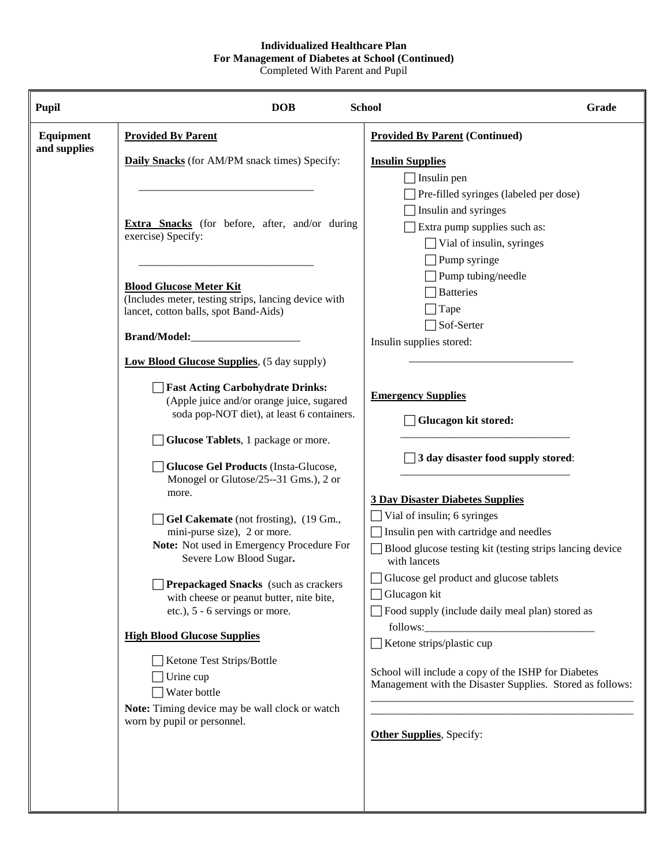## **Individualized Healthcare Plan For Management of Diabetes at School (Continued)**

Completed With Parent and Pupil

| <b>Pupil</b>              | <b>DOB</b>                                                                                                                                      | <b>School</b>                                                                                                                               | Grade |  |
|---------------------------|-------------------------------------------------------------------------------------------------------------------------------------------------|---------------------------------------------------------------------------------------------------------------------------------------------|-------|--|
| Equipment<br>and supplies | <b>Provided By Parent</b>                                                                                                                       | <b>Provided By Parent (Continued)</b>                                                                                                       |       |  |
|                           | <b>Daily Snacks</b> (for AM/PM snack times) Specify:                                                                                            | <b>Insulin Supplies</b><br>Insulin pen                                                                                                      |       |  |
|                           | <b>Extra Snacks</b> (for before, after, and/or during<br>exercise) Specify:                                                                     | Pre-filled syringes (labeled per dose)<br>Insulin and syringes<br>Extra pump supplies such as:<br>Vial of insulin, syringes<br>Pump syringe |       |  |
|                           | <b>Blood Glucose Meter Kit</b><br>(Includes meter, testing strips, lancing device with<br>lancet, cotton balls, spot Band-Aids)<br>Brand/Model: | Pump tubing/needle<br><b>Batteries</b><br>Tape<br>Sof-Serter<br>Insulin supplies stored:                                                    |       |  |
|                           | <b>Low Blood Glucose Supplies</b> , (5 day supply)                                                                                              |                                                                                                                                             |       |  |
|                           | <b>Fast Acting Carbohydrate Drinks:</b><br>(Apple juice and/or orange juice, sugared<br>soda pop-NOT diet), at least 6 containers.              | <b>Emergency Supplies</b><br><b>Glucagon kit stored:</b>                                                                                    |       |  |
|                           | Glucose Tablets, 1 package or more.<br><b>Glucose Gel Products (Insta-Glucose,</b>                                                              | 3 day disaster food supply stored:                                                                                                          |       |  |
|                           | Monogel or Glutose/25--31 Gms.), 2 or<br>more.<br>Gel Cakemate (not frosting), (19 Gm.,                                                         | <b>3 Day Disaster Diabetes Supplies</b><br>Vial of insulin; 6 syringes                                                                      |       |  |
|                           | mini-purse size), 2 or more.<br>Note: Not used in Emergency Procedure For<br>Severe Low Blood Sugar.                                            | Insulin pen with cartridge and needles<br>Blood glucose testing kit (testing strips lancing device<br>with lancets                          |       |  |
|                           | Prepackaged Snacks (such as crackers<br>with cheese or peanut butter, nite bite,<br>etc.), 5 - 6 servings or more.                              | Glucose gel product and glucose tablets<br>Glucagon kit<br>Food supply (include daily meal plan) stored as                                  |       |  |
|                           | <b>High Blood Glucose Supplies</b>                                                                                                              | Ketone strips/plastic cup                                                                                                                   |       |  |
|                           | Ketone Test Strips/Bottle<br>Urine cup<br>Water bottle<br>Note: Timing device may be wall clock or watch                                        | School will include a copy of the ISHP for Diabetes<br>Management with the Disaster Supplies. Stored as follows:                            |       |  |
|                           | worn by pupil or personnel.                                                                                                                     | <b>Other Supplies</b> , Specify:                                                                                                            |       |  |
|                           |                                                                                                                                                 |                                                                                                                                             |       |  |